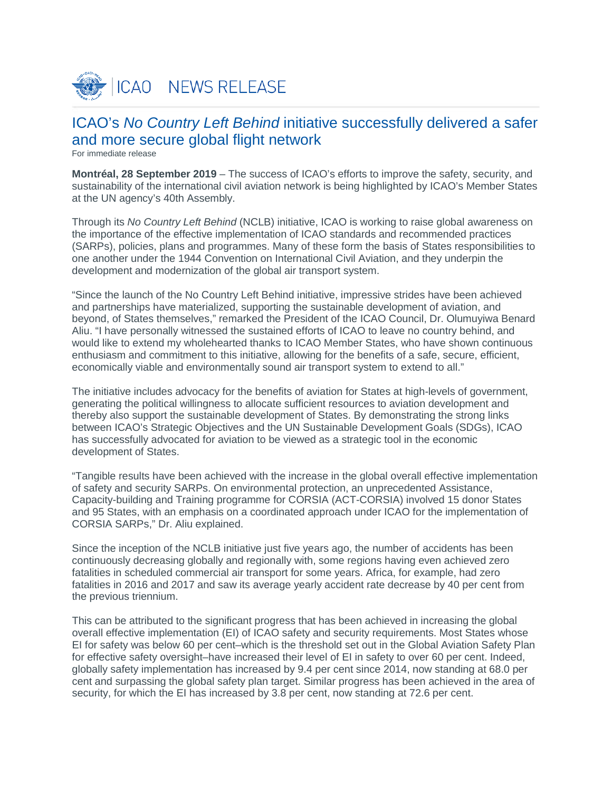

# ICAO's *No Country Left Behind* initiative successfully delivered a safer and more secure global flight network

For immediate release

**Montréal, 28 September 2019** – The success of ICAO's efforts to improve the safety, security, and sustainability of the international civil aviation network is being highlighted by ICAO's Member States at the UN agency's 40th Assembly.

Through its *No Country Left Behind* (NCLB) initiative, ICAO is working to raise global awareness on the importance of the effective implementation of ICAO standards and recommended practices (SARPs), policies, plans and programmes. Many of these form the basis of States responsibilities to one another under the 1944 Convention on International Civil Aviation, and they underpin the development and modernization of the global air transport system.

"Since the launch of the No Country Left Behind initiative, impressive strides have been achieved and partnerships have materialized, supporting the sustainable development of aviation, and beyond, of States themselves," remarked the President of the ICAO Council, Dr. Olumuyiwa Benard Aliu. "I have personally witnessed the sustained efforts of ICAO to leave no country behind, and would like to extend my wholehearted thanks to ICAO Member States, who have shown continuous enthusiasm and commitment to this initiative, allowing for the benefits of a safe, secure, efficient, economically viable and environmentally sound air transport system to extend to all."

The initiative includes advocacy for the benefits of aviation for States at high-levels of government, generating the political willingness to allocate sufficient resources to aviation development and thereby also support the sustainable development of States. By demonstrating the strong links between ICAO's Strategic Objectives and the UN Sustainable Development Goals (SDGs), ICAO has successfully advocated for aviation to be viewed as a strategic tool in the economic development of States.

"Tangible results have been achieved with the increase in the global overall effective implementation of safety and security SARPs. On environmental protection, an unprecedented Assistance, Capacity-building and Training programme for CORSIA (ACT-CORSIA) involved 15 donor States and 95 States, with an emphasis on a coordinated approach under ICAO for the implementation of CORSIA SARPs," Dr. Aliu explained.

Since the inception of the NCLB initiative just five years ago, the number of accidents has been continuously decreasing globally and regionally with, some regions having even achieved zero fatalities in scheduled commercial air transport for some years. Africa, for example, had zero fatalities in 2016 and 2017 and saw its average yearly accident rate decrease by 40 per cent from the previous triennium.

This can be attributed to the significant progress that has been achieved in increasing the global overall effective implementation (EI) of ICAO safety and security requirements. Most States whose EI for safety was below 60 per cent–which is the threshold set out in the Global Aviation Safety Plan for effective safety oversight–have increased their level of EI in safety to over 60 per cent. Indeed, globally safety implementation has increased by 9.4 per cent since 2014, now standing at 68.0 per cent and surpassing the global safety plan target. Similar progress has been achieved in the area of security, for which the EI has increased by 3.8 per cent, now standing at 72.6 per cent.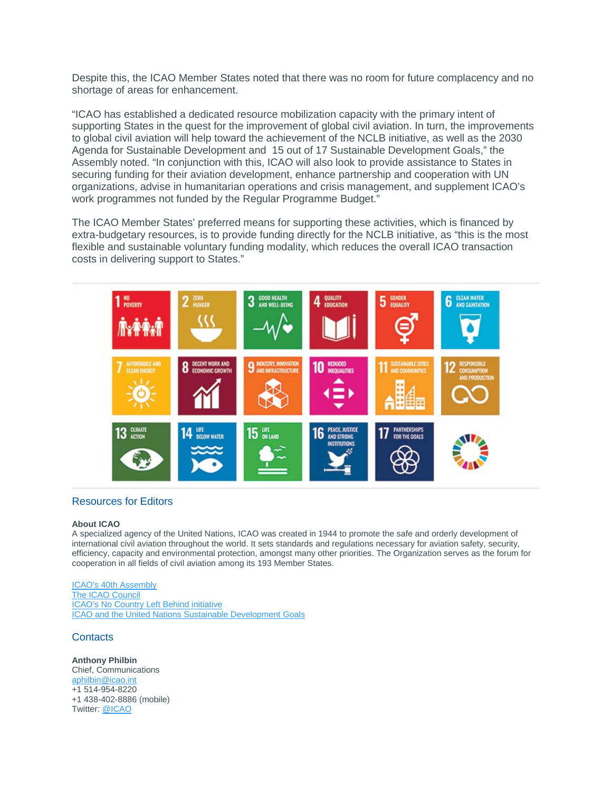Despite this, the ICAO Member States noted that there was no room for future complacency and no shortage of areas for enhancement.

"ICAO has established a dedicated resource mobilization capacity with the primary intent of supporting States in the quest for the improvement of global civil aviation. In turn, the improvements to global civil aviation will help toward the achievement of the NCLB initiative, as well as the 2030 Agenda for Sustainable Development and 15 out of 17 Sustainable Development Goals," the Assembly noted. "In conjunction with this, ICAO will also look to provide assistance to States in securing funding for their aviation development, enhance partnership and cooperation with UN organizations, advise in humanitarian operations and crisis management, and supplement ICAO's work programmes not funded by the Regular Programme Budget."

The ICAO Member States' preferred means for supporting these activities, which is financed by extra-budgetary resources, is to provide funding directly for the NCLB initiative, as "this is the most flexible and sustainable voluntary funding modality, which reduces the overall ICAO transaction costs in delivering support to States."



## Resources for Editors

#### **About ICAO**

A specialized agency of the United Nations, ICAO was created in 1944 to promote the safe and orderly development of international civil aviation throughout the world. It sets standards and regulations necessary for aviation safety, security, efficiency, capacity and environmental protection, amongst many other priorities. The Organization serves as the forum for cooperation in all fields of civil aviation among its 193 Member States.

[ICAO's 40th Assembly](https://www.icao.int/Meetings/a40/Pages/default.aspx) [The ICAO Council](https://www.icao.int/about-icao/Council/Pages/council.aspx) [ICAO's No Country Left Behind initiative](http://www.icao.int/about-icao/NCLB/Pages/default.aspx) [ICAO and the United Nations Sustainable Development Goals](https://www.icao.int/about-icao/aviation-development/Pages/SDG.aspx)

# **Contacts**

**Anthony Philbin** Chief, Communications [aphilbin@icao.int](mailto:aphilbin@icao.int) +1 514-954-8220 +1 438-402-8886 (mobile) Twitter: [@ICAO](https://twitter.com/icao)